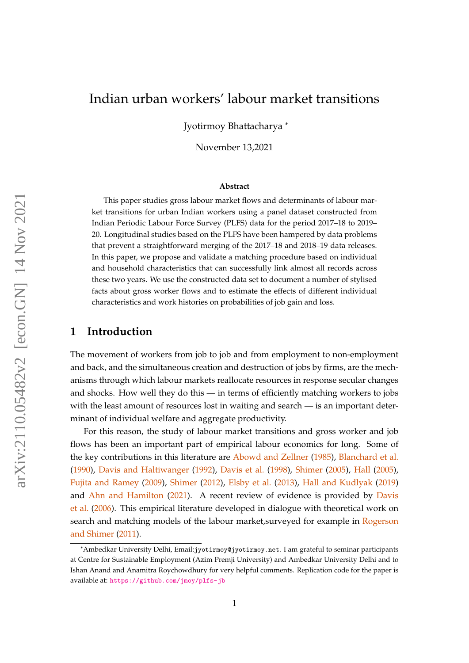# Indian urban workers' labour market transitions

Jyotirmoy Bhattacharya \*

November 13,2021

#### **Abstract**

This paper studies gross labour market flows and determinants of labour market transitions for urban Indian workers using a panel dataset constructed from Indian Periodic Labour Force Survey (PLFS) data for the period 2017–18 to 2019– 20. Longitudinal studies based on the PLFS have been hampered by data problems that prevent a straightforward merging of the 2017–18 and 2018–19 data releases. In this paper, we propose and validate a matching procedure based on individual and household characteristics that can successfully link almost all records across these two years. We use the constructed data set to document a number of stylised facts about gross worker flows and to estimate the effects of different individual characteristics and work histories on probabilities of job gain and loss.

## **1 Introduction**

The movement of workers from job to job and from employment to non-employment and back, and the simultaneous creation and destruction of jobs by firms, are the mechanisms through which labour markets reallocate resources in response secular changes and shocks. How well they do this — in terms of efficiently matching workers to jobs with the least amount of resources lost in waiting and search — is an important determinant of individual welfare and aggregate productivity.

For this reason, the study of labour market transitions and gross worker and job flows has been an important part of empirical labour economics for long. Some of the key contributions in this literature are [Abowd and Zellner](#page-22-0) [\(1985\)](#page-22-0), [Blanchard et al.](#page-22-1) [\(1990\)](#page-22-1), [Davis and Haltiwanger](#page-22-2) [\(1992\)](#page-22-2), [Davis et al.](#page-22-3) [\(1998\)](#page-22-3), [Shimer](#page-23-0) [\(2005\)](#page-23-0), [Hall](#page-22-4) [\(2005\)](#page-22-4), [Fujita and Ramey](#page-22-5) [\(2009\)](#page-22-5), [Shimer](#page-23-1) [\(2012\)](#page-23-1), [Elsby et al.](#page-22-6) [\(2013\)](#page-22-6), [Hall and Kudlyak](#page-22-7) [\(2019\)](#page-22-7) and [Ahn and Hamilton](#page-22-8) [\(2021\)](#page-22-8). A recent review of evidence is provided by [Davis](#page-22-9) [et al.](#page-22-9) [\(2006\)](#page-22-9). This empirical literature developed in dialogue with theoretical work on search and matching models of the labour market, surveyed for example in [Rogerson](#page-23-2) [and Shimer](#page-23-2) [\(2011\)](#page-23-2).

<sup>\*</sup>Ambedkar University Delhi, Email:jyotirmoy@jyotirmoy.net. I am grateful to seminar participants at Centre for Sustainable Employment (Azim Premji University) and Ambedkar University Delhi and to Ishan Anand and Anamitra Roychowdhury for very helpful comments. Replication code for the paper is available at: <https://github.com/jmoy/plfs-jb>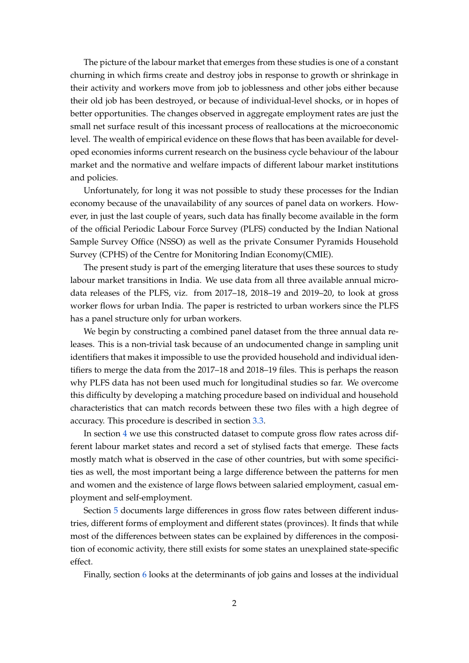The picture of the labour market that emerges from these studies is one of a constant churning in which firms create and destroy jobs in response to growth or shrinkage in their activity and workers move from job to joblessness and other jobs either because their old job has been destroyed, or because of individual-level shocks, or in hopes of better opportunities. The changes observed in aggregate employment rates are just the small net surface result of this incessant process of reallocations at the microeconomic level. The wealth of empirical evidence on these flows that has been available for developed economies informs current research on the business cycle behaviour of the labour market and the normative and welfare impacts of different labour market institutions and policies.

Unfortunately, for long it was not possible to study these processes for the Indian economy because of the unavailability of any sources of panel data on workers. However, in just the last couple of years, such data has finally become available in the form of the official Periodic Labour Force Survey (PLFS) conducted by the Indian National Sample Survey Office (NSSO) as well as the private Consumer Pyramids Household Survey (CPHS) of the Centre for Monitoring Indian Economy(CMIE).

The present study is part of the emerging literature that uses these sources to study labour market transitions in India. We use data from all three available annual microdata releases of the PLFS, viz. from 2017–18, 2018–19 and 2019–20, to look at gross worker flows for urban India. The paper is restricted to urban workers since the PLFS has a panel structure only for urban workers.

We begin by constructing a combined panel dataset from the three annual data releases. This is a non-trivial task because of an undocumented change in sampling unit identifiers that makes it impossible to use the provided household and individual identifiers to merge the data from the 2017–18 and 2018–19 files. This is perhaps the reason why PLFS data has not been used much for longitudinal studies so far. We overcome this difficulty by developing a matching procedure based on individual and household characteristics that can match records between these two files with a high degree of accuracy. This procedure is described in section [3.3.](#page-5-0)

In section [4](#page-8-0) we use this constructed dataset to compute gross flow rates across different labour market states and record a set of stylised facts that emerge. These facts mostly match what is observed in the case of other countries, but with some specificities as well, the most important being a large difference between the patterns for men and women and the existence of large flows between salaried employment, casual employment and self-employment.

Section [5](#page-12-0) documents large differences in gross flow rates between different industries, different forms of employment and different states (provinces). It finds that while most of the differences between states can be explained by differences in the composition of economic activity, there still exists for some states an unexplained state-specific effect.

Finally, section [6](#page-17-0) looks at the determinants of job gains and losses at the individual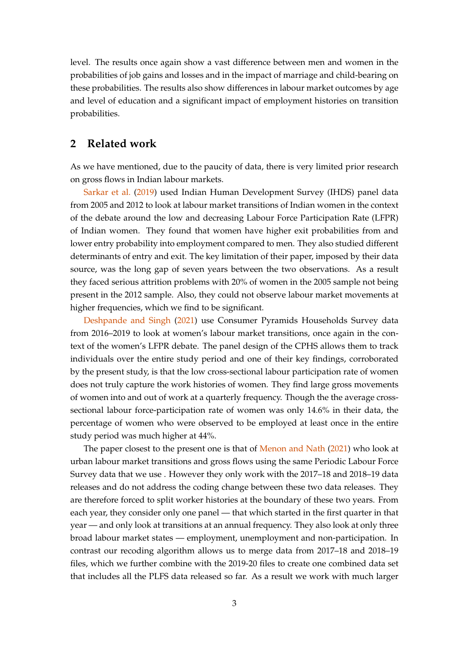level. The results once again show a vast difference between men and women in the probabilities of job gains and losses and in the impact of marriage and child-bearing on these probabilities. The results also show differences in labour market outcomes by age and level of education and a significant impact of employment histories on transition probabilities.

### **2 Related work**

As we have mentioned, due to the paucity of data, there is very limited prior research on gross flows in Indian labour markets.

[Sarkar et al.](#page-23-3) [\(2019\)](#page-23-3) used Indian Human Development Survey (IHDS) panel data from 2005 and 2012 to look at labour market transitions of Indian women in the context of the debate around the low and decreasing Labour Force Participation Rate (LFPR) of Indian women. They found that women have higher exit probabilities from and lower entry probability into employment compared to men. They also studied different determinants of entry and exit. The key limitation of their paper, imposed by their data source, was the long gap of seven years between the two observations. As a result they faced serious attrition problems with 20% of women in the 2005 sample not being present in the 2012 sample. Also, they could not observe labour market movements at higher frequencies, which we find to be significant.

[Deshpande and Singh](#page-22-10) [\(2021\)](#page-22-10) use Consumer Pyramids Households Survey data from 2016–2019 to look at women's labour market transitions, once again in the context of the women's LFPR debate. The panel design of the CPHS allows them to track individuals over the entire study period and one of their key findings, corroborated by the present study, is that the low cross-sectional labour participation rate of women does not truly capture the work histories of women. They find large gross movements of women into and out of work at a quarterly frequency. Though the the average crosssectional labour force-participation rate of women was only 14.6% in their data, the percentage of women who were observed to be employed at least once in the entire study period was much higher at 44%.

The paper closest to the present one is that of [Menon and Nath](#page-23-4) [\(2021\)](#page-23-4) who look at urban labour market transitions and gross flows using the same Periodic Labour Force Survey data that we use . However they only work with the 2017–18 and 2018–19 data releases and do not address the coding change between these two data releases. They are therefore forced to split worker histories at the boundary of these two years. From each year, they consider only one panel — that which started in the first quarter in that year — and only look at transitions at an annual frequency. They also look at only three broad labour market states — employment, unemployment and non-participation. In contrast our recoding algorithm allows us to merge data from 2017–18 and 2018–19 files, which we further combine with the 2019-20 files to create one combined data set that includes all the PLFS data released so far. As a result we work with much larger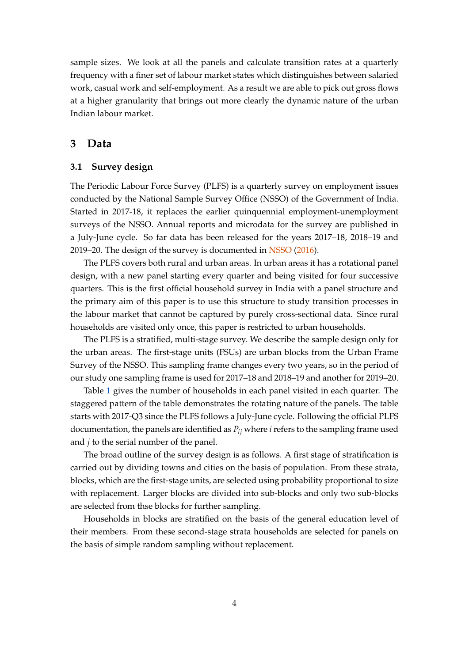sample sizes. We look at all the panels and calculate transition rates at a quarterly frequency with a finer set of labour market states which distinguishes between salaried work, casual work and self-employment. As a result we are able to pick out gross flows at a higher granularity that brings out more clearly the dynamic nature of the urban Indian labour market.

### **3 Data**

#### **3.1 Survey design**

The Periodic Labour Force Survey (PLFS) is a quarterly survey on employment issues conducted by the National Sample Survey Office (NSSO) of the Government of India. Started in 2017-18, it replaces the earlier quinquennial employment-unemployment surveys of the NSSO. Annual reports and microdata for the survey are published in a July-June cycle. So far data has been released for the years 2017–18, 2018–19 and 2019–20. The design of the survey is documented in [NSSO](#page-23-5) [\(2016\)](#page-23-5).

The PLFS covers both rural and urban areas. In urban areas it has a rotational panel design, with a new panel starting every quarter and being visited for four successive quarters. This is the first official household survey in India with a panel structure and the primary aim of this paper is to use this structure to study transition processes in the labour market that cannot be captured by purely cross-sectional data. Since rural households are visited only once, this paper is restricted to urban households.

The PLFS is a stratified, multi-stage survey. We describe the sample design only for the urban areas. The first-stage units (FSUs) are urban blocks from the Urban Frame Survey of the NSSO. This sampling frame changes every two years, so in the period of our study one sampling frame is used for 2017–18 and 2018–19 and another for 2019–20.

Table [1](#page-4-0) gives the number of households in each panel visited in each quarter. The staggered pattern of the table demonstrates the rotating nature of the panels. The table starts with 2017-Q3 since the PLFS follows a July-June cycle. Following the official PLFS documentation, the panels are identified as *Pij* where *i* refers to the sampling frame used and *j* to the serial number of the panel.

The broad outline of the survey design is as follows. A first stage of stratification is carried out by dividing towns and cities on the basis of population. From these strata, blocks, which are the first-stage units, are selected using probability proportional to size with replacement. Larger blocks are divided into sub-blocks and only two sub-blocks are selected from thse blocks for further sampling.

Households in blocks are stratified on the basis of the general education level of their members. From these second-stage strata households are selected for panels on the basis of simple random sampling without replacement.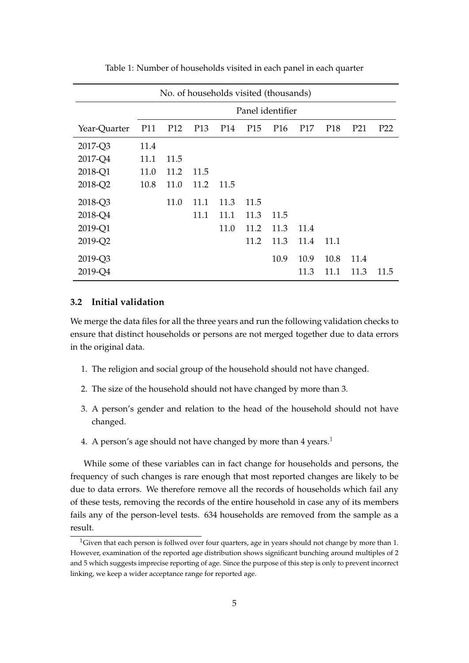| No. of households visited (thousands) |                  |                 |                 |                 |                 |                 |                 |                 |                 |                 |
|---------------------------------------|------------------|-----------------|-----------------|-----------------|-----------------|-----------------|-----------------|-----------------|-----------------|-----------------|
|                                       | Panel identifier |                 |                 |                 |                 |                 |                 |                 |                 |                 |
| Year-Quarter                          | P <sub>11</sub>  | P <sub>12</sub> | P <sub>13</sub> | P <sub>14</sub> | P <sub>15</sub> | P <sub>16</sub> | P <sub>17</sub> | P <sub>18</sub> | P <sub>21</sub> | P <sub>22</sub> |
| 2017-Q3                               | 11.4             |                 |                 |                 |                 |                 |                 |                 |                 |                 |
| 2017-Q4                               | 11.1             | 11.5            |                 |                 |                 |                 |                 |                 |                 |                 |
| 2018-Q1                               | 11.0             | 11.2            | 11.5            |                 |                 |                 |                 |                 |                 |                 |
| 2018-Q2                               | 10.8             | 11.0            | 11.2            | 11.5            |                 |                 |                 |                 |                 |                 |
| 2018-Q3                               |                  | 11.0            | 11.1            | 11.3            | 11.5            |                 |                 |                 |                 |                 |
| 2018-Q4                               |                  |                 | 11.1            | 11.1            | 11.3            | 11.5            |                 |                 |                 |                 |
| 2019-Q1                               |                  |                 |                 | 11.0            | 11.2            | 11.3            | 11.4            |                 |                 |                 |
| 2019-Q2                               |                  |                 |                 |                 | 11.2            | 11.3            | 11.4            | 11.1            |                 |                 |
| 2019-Q3                               |                  |                 |                 |                 |                 | 10.9            | 10.9            | 10.8            | 11.4            |                 |
| 2019-Q4                               |                  |                 |                 |                 |                 |                 | 11.3            | 11.1            | 11.3            | 11.5            |

<span id="page-4-0"></span>Table 1: Number of households visited in each panel in each quarter

### <span id="page-4-2"></span>**3.2 Initial validation**

We merge the data files for all the three years and run the following validation checks to ensure that distinct households or persons are not merged together due to data errors in the original data.

- 1. The religion and social group of the household should not have changed.
- 2. The size of the household should not have changed by more than 3.
- 3. A person's gender and relation to the head of the household should not have changed.
- 4. A person's age should not have changed by more than 4 years.<sup>[1](#page-4-1)</sup>

While some of these variables can in fact change for households and persons, the frequency of such changes is rare enough that most reported changes are likely to be due to data errors. We therefore remove all the records of households which fail any of these tests, removing the records of the entire household in case any of its members fails any of the person-level tests. 634 households are removed from the sample as a result.

<span id="page-4-1"></span><sup>&</sup>lt;sup>1</sup>Given that each person is follwed over four quarters, age in years should not change by more than 1. However, examination of the reported age distribution shows significant bunching around multiples of 2 and 5 which suggests imprecise reporting of age. Since the purpose of this step is only to prevent incorrect linking, we keep a wider acceptance range for reported age.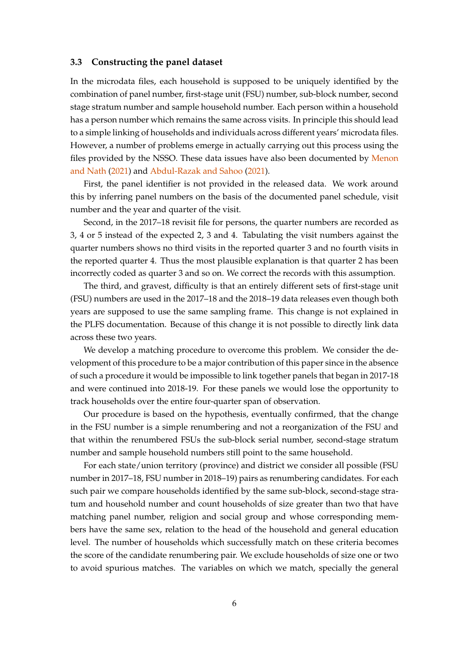#### <span id="page-5-0"></span>**3.3 Constructing the panel dataset**

In the microdata files, each household is supposed to be uniquely identified by the combination of panel number, first-stage unit (FSU) number, sub-block number, second stage stratum number and sample household number. Each person within a household has a person number which remains the same across visits. In principle this should lead to a simple linking of households and individuals across different years' microdata files. However, a number of problems emerge in actually carrying out this process using the files provided by the NSSO. These data issues have also been documented by [Menon](#page-23-4) [and Nath](#page-23-4) [\(2021\)](#page-23-4) and [Abdul-Razak and Sahoo](#page-22-11) [\(2021\)](#page-22-11).

First, the panel identifier is not provided in the released data. We work around this by inferring panel numbers on the basis of the documented panel schedule, visit number and the year and quarter of the visit.

Second, in the 2017–18 revisit file for persons, the quarter numbers are recorded as 3, 4 or 5 instead of the expected 2, 3 and 4. Tabulating the visit numbers against the quarter numbers shows no third visits in the reported quarter 3 and no fourth visits in the reported quarter 4. Thus the most plausible explanation is that quarter 2 has been incorrectly coded as quarter 3 and so on. We correct the records with this assumption.

The third, and gravest, difficulty is that an entirely different sets of first-stage unit (FSU) numbers are used in the 2017–18 and the 2018–19 data releases even though both years are supposed to use the same sampling frame. This change is not explained in the PLFS documentation. Because of this change it is not possible to directly link data across these two years.

We develop a matching procedure to overcome this problem. We consider the development of this procedure to be a major contribution of this paper since in the absence of such a procedure it would be impossible to link together panels that began in 2017-18 and were continued into 2018-19. For these panels we would lose the opportunity to track households over the entire four-quarter span of observation.

Our procedure is based on the hypothesis, eventually confirmed, that the change in the FSU number is a simple renumbering and not a reorganization of the FSU and that within the renumbered FSUs the sub-block serial number, second-stage stratum number and sample household numbers still point to the same household.

For each state/union territory (province) and district we consider all possible (FSU number in 2017–18, FSU number in 2018–19) pairs as renumbering candidates. For each such pair we compare households identified by the same sub-block, second-stage stratum and household number and count households of size greater than two that have matching panel number, religion and social group and whose corresponding members have the same sex, relation to the head of the household and general education level. The number of households which successfully match on these criteria becomes the score of the candidate renumbering pair. We exclude households of size one or two to avoid spurious matches. The variables on which we match, specially the general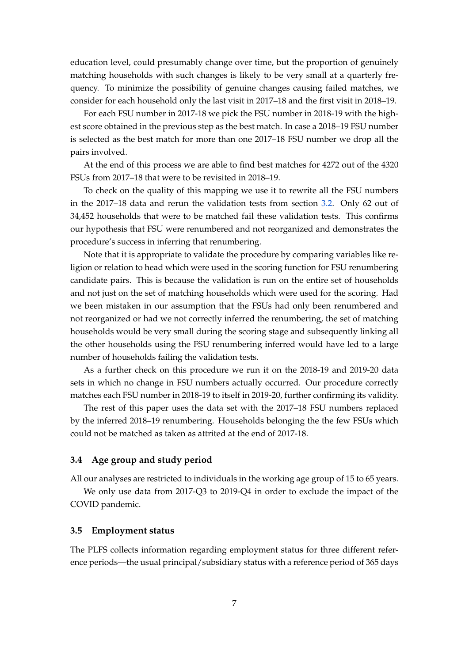education level, could presumably change over time, but the proportion of genuinely matching households with such changes is likely to be very small at a quarterly frequency. To minimize the possibility of genuine changes causing failed matches, we consider for each household only the last visit in 2017–18 and the first visit in 2018–19.

For each FSU number in 2017-18 we pick the FSU number in 2018-19 with the highest score obtained in the previous step as the best match. In case a 2018–19 FSU number is selected as the best match for more than one 2017–18 FSU number we drop all the pairs involved.

At the end of this process we are able to find best matches for 4272 out of the 4320 FSUs from 2017–18 that were to be revisited in 2018–19.

To check on the quality of this mapping we use it to rewrite all the FSU numbers in the 2017–18 data and rerun the validation tests from section [3.2.](#page-4-2) Only 62 out of 34,452 households that were to be matched fail these validation tests. This confirms our hypothesis that FSU were renumbered and not reorganized and demonstrates the procedure's success in inferring that renumbering.

Note that it is appropriate to validate the procedure by comparing variables like religion or relation to head which were used in the scoring function for FSU renumbering candidate pairs. This is because the validation is run on the entire set of households and not just on the set of matching households which were used for the scoring. Had we been mistaken in our assumption that the FSUs had only been renumbered and not reorganized or had we not correctly inferred the renumbering, the set of matching households would be very small during the scoring stage and subsequently linking all the other households using the FSU renumbering inferred would have led to a large number of households failing the validation tests.

As a further check on this procedure we run it on the 2018-19 and 2019-20 data sets in which no change in FSU numbers actually occurred. Our procedure correctly matches each FSU number in 2018-19 to itself in 2019-20, further confirming its validity.

The rest of this paper uses the data set with the 2017–18 FSU numbers replaced by the inferred 2018–19 renumbering. Households belonging the the few FSUs which could not be matched as taken as attrited at the end of 2017-18.

### **3.4 Age group and study period**

All our analyses are restricted to individuals in the working age group of 15 to 65 years.

We only use data from 2017-Q3 to 2019-Q4 in order to exclude the impact of the COVID pandemic.

#### **3.5 Employment status**

The PLFS collects information regarding employment status for three different reference periods—the usual principal/subsidiary status with a reference period of 365 days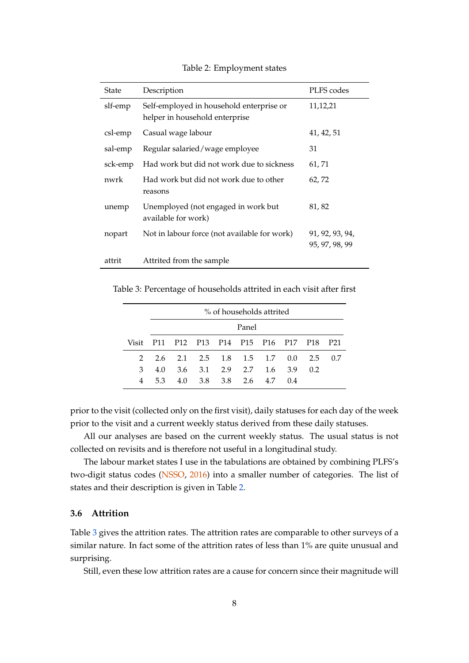| <b>State</b> | Description                                                                | PLFS codes                        |
|--------------|----------------------------------------------------------------------------|-----------------------------------|
| slf-emp      | Self-employed in household enterprise or<br>helper in household enterprise | 11,12,21                          |
| csl-emp      | Casual wage labour                                                         | 41, 42, 51                        |
| sal-emp      | Regular salaried/wage employee                                             | 31                                |
| sck-emp      | Had work but did not work due to sickness                                  | 61, 71                            |
| nwrk         | Had work but did not work due to other<br>reasons                          | 62,72                             |
| unemp        | Unemployed (not engaged in work but<br>available for work)                 | 81,82                             |
| nopart       | Not in labour force (not available for work)                               | 91, 92, 93, 94,<br>95, 97, 98, 99 |
| attrit       | Attrited from the sample                                                   |                                   |

<span id="page-7-0"></span>Table 2: Employment states

<span id="page-7-1"></span>Table 3: Percentage of households attrited in each visit after first

|               |     | % of households attrited |  |                                     |  |  |      |     |    |
|---------------|-----|--------------------------|--|-------------------------------------|--|--|------|-----|----|
|               |     | Panel                    |  |                                     |  |  |      |     |    |
| Visit         |     |                          |  | P11 P12 P13 P14 P15 P16 P17 P18 P21 |  |  |      |     |    |
| $\mathcal{P}$ |     |                          |  | 2.6 2.1 2.5 1.8 1.5 1.7 0.0 2.5     |  |  |      |     | 07 |
| 3             | 4.0 |                          |  | 3.6 3.1 2.9 2.7 1.6 3.9             |  |  |      | 0.2 |    |
| 4             | 5.3 |                          |  | 4.0 3.8 3.8 2.6 4.7                 |  |  | (14) |     |    |

prior to the visit (collected only on the first visit), daily statuses for each day of the week prior to the visit and a current weekly status derived from these daily statuses.

All our analyses are based on the current weekly status. The usual status is not collected on revisits and is therefore not useful in a longitudinal study.

The labour market states I use in the tabulations are obtained by combining PLFS's two-digit status codes [\(NSSO,](#page-23-5) [2016\)](#page-23-5) into a smaller number of categories. The list of states and their description is given in Table [2.](#page-7-0)

### **3.6 Attrition**

Table [3](#page-7-1) gives the attrition rates. The attrition rates are comparable to other surveys of a similar nature. In fact some of the attrition rates of less than 1% are quite unusual and surprising.

Still, even these low attrition rates are a cause for concern since their magnitude will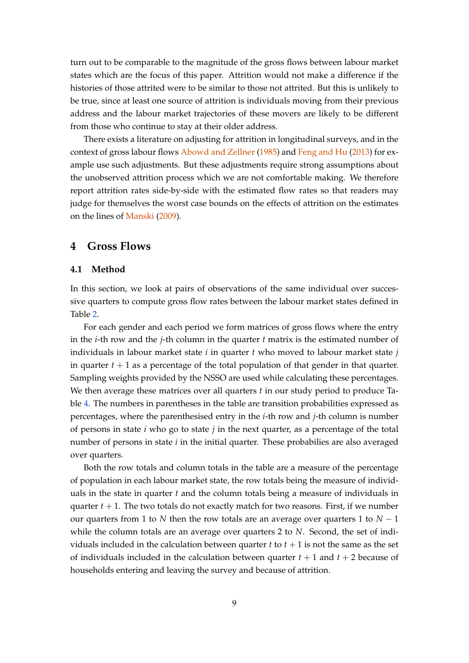turn out to be comparable to the magnitude of the gross flows between labour market states which are the focus of this paper. Attrition would not make a difference if the histories of those attrited were to be similar to those not attrited. But this is unlikely to be true, since at least one source of attrition is individuals moving from their previous address and the labour market trajectories of these movers are likely to be different from those who continue to stay at their older address.

There exists a literature on adjusting for attrition in longitudinal surveys, and in the context of gross labour flows [Abowd and Zellner](#page-22-0) [\(1985\)](#page-22-0) and [Feng and Hu](#page-22-12) [\(2013\)](#page-22-12) for example use such adjustments. But these adjustments require strong assumptions about the unobserved attrition process which we are not comfortable making. We therefore report attrition rates side-by-side with the estimated flow rates so that readers may judge for themselves the worst case bounds on the effects of attrition on the estimates on the lines of [Manski](#page-23-6) [\(2009\)](#page-23-6).

## <span id="page-8-0"></span>**4 Gross Flows**

#### **4.1 Method**

In this section, we look at pairs of observations of the same individual over successive quarters to compute gross flow rates between the labour market states defined in Table [2.](#page-7-0)

For each gender and each period we form matrices of gross flows where the entry in the *i*-th row and the *j*-th column in the quarter *t* matrix is the estimated number of individuals in labour market state *i* in quarter *t* who moved to labour market state *j* in quarter  $t + 1$  as a percentage of the total population of that gender in that quarter. Sampling weights provided by the NSSO are used while calculating these percentages. We then average these matrices over all quarters *t* in our study period to produce Table [4.](#page-9-0) The numbers in parentheses in the table are transition probabilities expressed as percentages, where the parenthesised entry in the *i*-th row and *j*-th column is number of persons in state *i* who go to state *j* in the next quarter, as a percentage of the total number of persons in state *i* in the initial quarter. These probabilies are also averaged over quarters.

Both the row totals and column totals in the table are a measure of the percentage of population in each labour market state, the row totals being the measure of individuals in the state in quarter *t* and the column totals being a measure of individuals in quarter  $t + 1$ . The two totals do not exactly match for two reasons. First, if we number our quarters from 1 to *N* then the row totals are an average over quarters 1 to  $N - 1$ while the column totals are an average over quarters 2 to *N*. Second, the set of individuals included in the calculation between quarter  $t$  to  $t + 1$  is not the same as the set of individuals included in the calculation between quarter  $t + 1$  and  $t + 2$  because of households entering and leaving the survey and because of attrition.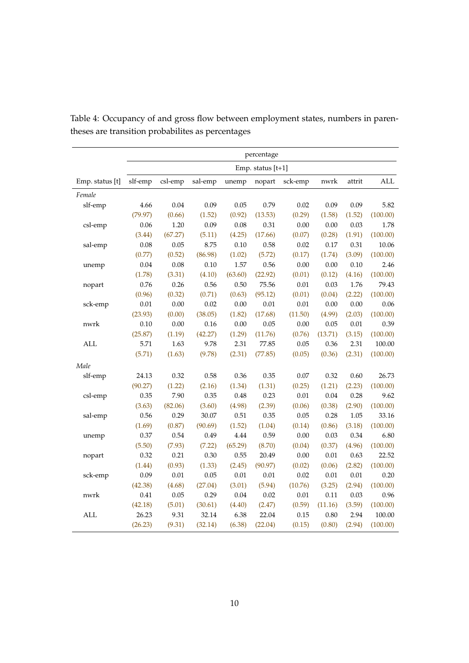|                 | percentage        |         |         |         |         |         |         |        |          |
|-----------------|-------------------|---------|---------|---------|---------|---------|---------|--------|----------|
|                 | Emp. status [t+1] |         |         |         |         |         |         |        |          |
| Emp. status [t] | slf-emp           | csl-emp | sal-emp | unemp   | nopart  | sck-emp | nwrk    | attrit | ALL      |
| Female          |                   |         |         |         |         |         |         |        |          |
| slf-emp         | 4.66              | 0.04    | 0.09    | 0.05    | 0.79    | 0.02    | 0.09    | 0.09   | 5.82     |
|                 | (79.97)           | (0.66)  | (1.52)  | (0.92)  | (13.53) | (0.29)  | (1.58)  | (1.52) | (100.00) |
| csl-emp         | 0.06              | 1.20    | 0.09    | 0.08    | 0.31    | 0.00    | 0.00    | 0.03   | 1.78     |
|                 | (3.44)            | (67.27) | (5.11)  | (4.25)  | (17.66) | (0.07)  | (0.28)  | (1.91) | (100.00) |
| sal-emp         | 0.08              | 0.05    | 8.75    | 0.10    | 0.58    | 0.02    | 0.17    | 0.31   | 10.06    |
|                 | (0.77)            | (0.52)  | (86.98) | (1.02)  | (5.72)  | (0.17)  | (1.74)  | (3.09) | (100.00) |
| unemp           | 0.04              | 0.08    | 0.10    | 1.57    | 0.56    | 0.00    | 0.00    | 0.10   | 2.46     |
|                 | (1.78)            | (3.31)  | (4.10)  | (63.60) | (22.92) | (0.01)  | (0.12)  | (4.16) | (100.00) |
| nopart          | 0.76              | 0.26    | 0.56    | 0.50    | 75.56   | 0.01    | 0.03    | 1.76   | 79.43    |
|                 | (0.96)            | (0.32)  | (0.71)  | (0.63)  | (95.12) | (0.01)  | (0.04)  | (2.22) | (100.00) |
| sck-emp         | 0.01              | 0.00    | 0.02    | 0.00    | 0.01    | 0.01    | 0.00    | 0.00   | 0.06     |
|                 | (23.93)           | (0.00)  | (38.05) | (1.82)  | (17.68) | (11.50) | (4.99)  | (2.03) | (100.00) |
| nwrk            | 0.10              | 0.00    | 0.16    | 0.00    | 0.05    | 0.00    | 0.05    | 0.01   | 0.39     |
|                 | (25.87)           | (1.19)  | (42.27) | (1.29)  | (11.76) | (0.76)  | (13.71) | (3.15) | (100.00) |
| $\mbox{ALL}$    | 5.71              | 1.63    | 9.78    | 2.31    | 77.85   | 0.05    | 0.36    | 2.31   | 100.00   |
|                 | (5.71)            | (1.63)  | (9.78)  | (2.31)  | (77.85) | (0.05)  | (0.36)  | (2.31) | (100.00) |
| Male            |                   |         |         |         |         |         |         |        |          |
| slf-emp         | 24.13             | 0.32    | 0.58    | 0.36    | 0.35    | 0.07    | 0.32    | 0.60   | 26.73    |
|                 | (90.27)           | (1.22)  | (2.16)  | (1.34)  | (1.31)  | (0.25)  | (1.21)  | (2.23) | (100.00) |
| csl-emp         | 0.35              | 7.90    | 0.35    | 0.48    | 0.23    | 0.01    | 0.04    | 0.28   | 9.62     |
|                 | (3.63)            | (82.06) | (3.60)  | (4.98)  | (2.39)  | (0.06)  | (0.38)  | (2.90) | (100.00) |
| sal-emp         | 0.56              | 0.29    | 30.07   | 0.51    | 0.35    | 0.05    | 0.28    | 1.05   | 33.16    |
|                 | (1.69)            | (0.87)  | (90.69) | (1.52)  | (1.04)  | (0.14)  | (0.86)  | (3.18) | (100.00) |
| unemp           | 0.37              | 0.54    | 0.49    | 4.44    | 0.59    | 0.00    | 0.03    | 0.34   | 6.80     |
|                 | (5.50)            | (7.93)  | (7.22)  | (65.29) | (8.70)  | (0.04)  | (0.37)  | (4.96) | (100.00) |
| nopart          | 0.32              | 0.21    | 0.30    | 0.55    | 20.49   | 0.00    | 0.01    | 0.63   | 22.52    |
|                 | (1.44)            | (0.93)  | (1.33)  | (2.45)  | (90.97) | (0.02)  | (0.06)  | (2.82) | (100.00) |
| sck-emp         | 0.09              | 0.01    | 0.05    | 0.01    | 0.01    | 0.02    | 0.01    | 0.01   | 0.20     |
|                 | (42.38)           | (4.68)  | (27.04) | (3.01)  | (5.94)  | (10.76) | (3.25)  | (2.94) | (100.00) |
| nwrk            | 0.41              | 0.05    | 0.29    | 0.04    | 0.02    | 0.01    | 0.11    | 0.03   | 0.96     |
|                 | (42.18)           | (5.01)  | (30.61) | (4.40)  | (2.47)  | (0.59)  | (11.16) | (3.59) | (100.00) |
| <b>ALL</b>      | 26.23             | 9.31    | 32.14   | 6.38    | 22.04   | 0.15    | 0.80    | 2.94   | 100.00   |
|                 | (26.23)           | (9.31)  | (32.14) | (6.38)  | (22.04) | (0.15)  | (0.80)  | (2.94) | (100.00) |

<span id="page-9-0"></span>Table 4: Occupancy of and gross flow between employment states, numbers in parentheses are transition probabilites as percentages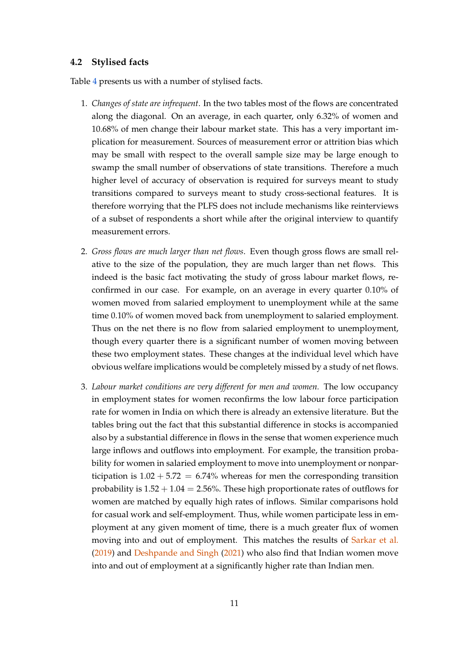#### **4.2 Stylised facts**

Table [4](#page-9-0) presents us with a number of stylised facts.

- 1. *Changes of state are infrequent*. In the two tables most of the flows are concentrated along the diagonal. On an average, in each quarter, only 6.32% of women and 10.68% of men change their labour market state. This has a very important implication for measurement. Sources of measurement error or attrition bias which may be small with respect to the overall sample size may be large enough to swamp the small number of observations of state transitions. Therefore a much higher level of accuracy of observation is required for surveys meant to study transitions compared to surveys meant to study cross-sectional features. It is therefore worrying that the PLFS does not include mechanisms like reinterviews of a subset of respondents a short while after the original interview to quantify measurement errors.
- 2. *Gross flows are much larger than net flows*. Even though gross flows are small relative to the size of the population, they are much larger than net flows. This indeed is the basic fact motivating the study of gross labour market flows, reconfirmed in our case. For example, on an average in every quarter 0.10% of women moved from salaried employment to unemployment while at the same time 0.10% of women moved back from unemployment to salaried employment. Thus on the net there is no flow from salaried employment to unemployment, though every quarter there is a significant number of women moving between these two employment states. These changes at the individual level which have obvious welfare implications would be completely missed by a study of net flows.
- 3. *Labour market conditions are very different for men and women.* The low occupancy in employment states for women reconfirms the low labour force participation rate for women in India on which there is already an extensive literature. But the tables bring out the fact that this substantial difference in stocks is accompanied also by a substantial difference in flows in the sense that women experience much large inflows and outflows into employment. For example, the transition probability for women in salaried employment to move into unemployment or nonparticipation is  $1.02 + 5.72 = 6.74\%$  whereas for men the corresponding transition probability is  $1.52 + 1.04 = 2.56\%$ . These high proportionate rates of outflows for women are matched by equally high rates of inflows. Similar comparisons hold for casual work and self-employment. Thus, while women participate less in employment at any given moment of time, there is a much greater flux of women moving into and out of employment. This matches the results of [Sarkar et al.](#page-23-3) [\(2019\)](#page-23-3) and [Deshpande and Singh](#page-22-10) [\(2021\)](#page-22-10) who also find that Indian women move into and out of employment at a significantly higher rate than Indian men.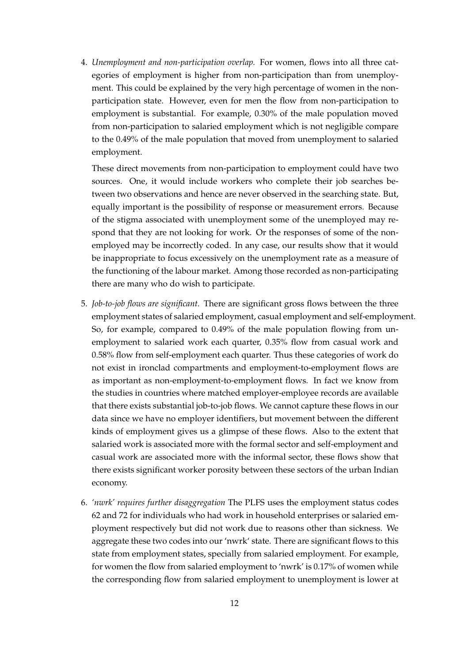4. *Unemployment and non-participation overlap.* For women, flows into all three categories of employment is higher from non-participation than from unemployment. This could be explained by the very high percentage of women in the nonparticipation state. However, even for men the flow from non-participation to employment is substantial. For example, 0.30% of the male population moved from non-participation to salaried employment which is not negligible compare to the 0.49% of the male population that moved from unemployment to salaried employment.

These direct movements from non-participation to employment could have two sources. One, it would include workers who complete their job searches between two observations and hence are never observed in the searching state. But, equally important is the possibility of response or measurement errors. Because of the stigma associated with unemployment some of the unemployed may respond that they are not looking for work. Or the responses of some of the nonemployed may be incorrectly coded. In any case, our results show that it would be inappropriate to focus excessively on the unemployment rate as a measure of the functioning of the labour market. Among those recorded as non-participating there are many who do wish to participate.

- 5. *Job-to-job flows are significant.* There are significant gross flows between the three employment states of salaried employment, casual employment and self-employment. So, for example, compared to 0.49% of the male population flowing from unemployment to salaried work each quarter, 0.35% flow from casual work and 0.58% flow from self-employment each quarter. Thus these categories of work do not exist in ironclad compartments and employment-to-employment flows are as important as non-employment-to-employment flows. In fact we know from the studies in countries where matched employer-employee records are available that there exists substantial job-to-job flows. We cannot capture these flows in our data since we have no employer identifiers, but movement between the different kinds of employment gives us a glimpse of these flows. Also to the extent that salaried work is associated more with the formal sector and self-employment and casual work are associated more with the informal sector, these flows show that there exists significant worker porosity between these sectors of the urban Indian economy.
- 6. *'nwrk' requires further disaggregation* The PLFS uses the employment status codes 62 and 72 for individuals who had work in household enterprises or salaried employment respectively but did not work due to reasons other than sickness. We aggregate these two codes into our 'nwrk' state. There are significant flows to this state from employment states, specially from salaried employment. For example, for women the flow from salaried employment to 'nwrk' is 0.17% of women while the corresponding flow from salaried employment to unemployment is lower at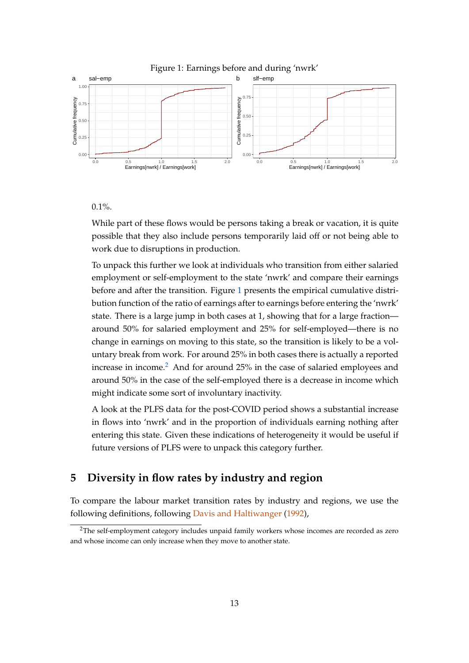<span id="page-12-1"></span>

 $0.1\%$ .

While part of these flows would be persons taking a break or vacation, it is quite possible that they also include persons temporarily laid off or not being able to work due to disruptions in production.

To unpack this further we look at individuals who transition from either salaried employment or self-employment to the state 'nwrk' and compare their earnings before and after the transition. Figure [1](#page-12-1) presents the empirical cumulative distribution function of the ratio of earnings after to earnings before entering the 'nwrk' state. There is a large jump in both cases at 1, showing that for a large fraction around 50% for salaried employment and 25% for self-employed—there is no change in earnings on moving to this state, so the transition is likely to be a voluntary break from work. For around 25% in both cases there is actually a reported increase in income.<sup>[2](#page-12-2)</sup> And for around 25% in the case of salaried employees and around 50% in the case of the self-employed there is a decrease in income which might indicate some sort of involuntary inactivity.

A look at the PLFS data for the post-COVID period shows a substantial increase in flows into 'nwrk' and in the proportion of individuals earning nothing after entering this state. Given these indications of heterogeneity it would be useful if future versions of PLFS were to unpack this category further.

## <span id="page-12-0"></span>**5 Diversity in flow rates by industry and region**

To compare the labour market transition rates by industry and regions, we use the following definitions, following [Davis and Haltiwanger](#page-22-2) [\(1992\)](#page-22-2),

<span id="page-12-2"></span><sup>&</sup>lt;sup>2</sup>The self-employment category includes unpaid family workers whose incomes are recorded as zero and whose income can only increase when they move to another state.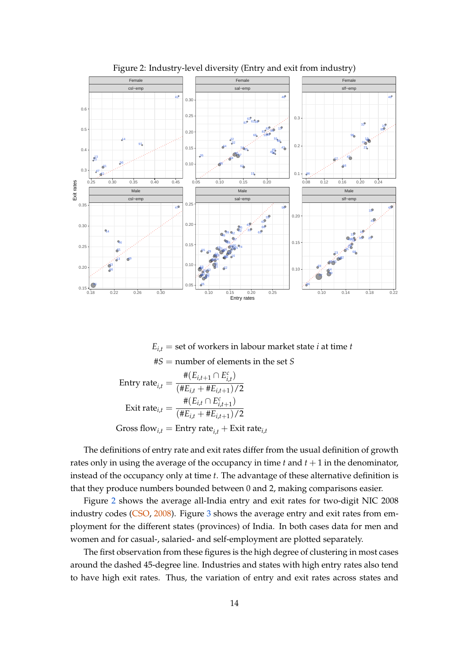

<span id="page-13-0"></span>Figure 2: Industry-level diversity (Entry and exit from industry)

 $E_{i,t}$  = set of workers in labour market state *i* at time *t* #*S* = number of elements in the set *S* Entry rate $_{i,t}$  = # $(E_{i,t+1} \cap E_{i,t}^c)$  $(\#E_{i,t} + \#E_{i,t+1})/2$ Exit rate $_{i,t}$  = # $(E_{i,t} \cap E_{i,t+1}^c)$  $(\#E_{i,t} + \#E_{i,t+1})/2$ Gross flow<sub>*i*,*t*</sub> = Entry rate<sub>*i*</sub>, + Exit rate<sub>*i*</sub>,*t* 

The definitions of entry rate and exit rates differ from the usual definition of growth rates only in using the average of the occupancy in time  $t$  and  $t + 1$  in the denominator, instead of the occupancy only at time *t*. The advantage of these alternative definition is that they produce numbers bounded between 0 and 2, making comparisons easier.

Figure [2](#page-13-0) shows the average all-India entry and exit rates for two-digit NIC 2008 industry codes [\(CSO,](#page-22-13) [2008\)](#page-22-13). Figure [3](#page-14-0) shows the average entry and exit rates from employment for the different states (provinces) of India. In both cases data for men and women and for casual-, salaried- and self-employment are plotted separately.

The first observation from these figures is the high degree of clustering in most cases around the dashed 45-degree line. Industries and states with high entry rates also tend to have high exit rates. Thus, the variation of entry and exit rates across states and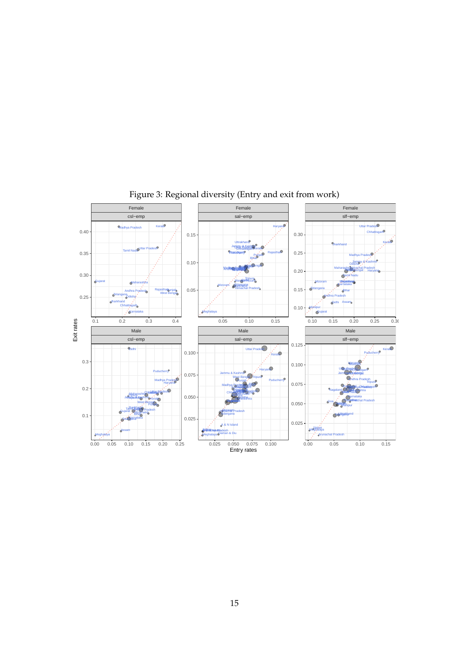

<span id="page-14-0"></span>Figure 3: Regional diversity (Entry and exit from work)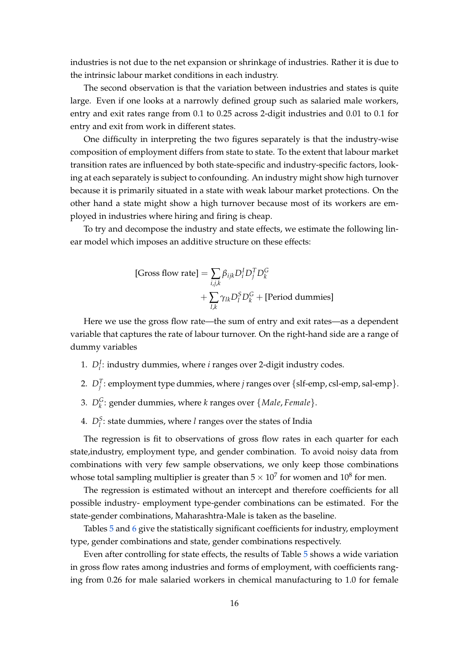industries is not due to the net expansion or shrinkage of industries. Rather it is due to the intrinsic labour market conditions in each industry.

The second observation is that the variation between industries and states is quite large. Even if one looks at a narrowly defined group such as salaried male workers, entry and exit rates range from 0.1 to 0.25 across 2-digit industries and 0.01 to 0.1 for entry and exit from work in different states.

One difficulty in interpreting the two figures separately is that the industry-wise composition of employment differs from state to state. To the extent that labour market transition rates are influenced by both state-specific and industry-specific factors, looking at each separately is subject to confounding. An industry might show high turnover because it is primarily situated in a state with weak labour market protections. On the other hand a state might show a high turnover because most of its workers are employed in industries where hiring and firing is cheap.

To try and decompose the industry and state effects, we estimate the following linear model which imposes an additive structure on these effects:

[Gross flow rate] = 
$$
\sum_{i,j,k} \beta_{ijk} D_i^I D_j^T D_k^G
$$

$$
+ \sum_{l,k} \gamma_{lk} D_l^S D_k^G + [\text{Period dummies}]
$$

Here we use the gross flow rate—the sum of entry and exit rates—as a dependent variable that captures the rate of labour turnover. On the right-hand side are a range of dummy variables

- 1.  $D_i^I$ : industry dummies, where *i* ranges over 2-digit industry codes.
- 2.  $D_j^T$ : employment type dummies, where *j* ranges over {slf-emp, csl-emp, sal-emp}.
- 3. *D<sup>G</sup> k* : gender dummies, where *k* ranges over {*Male*, *Female*}.
- 4.  $D_l^S$ : state dummies, where *l* ranges over the states of India

The regression is fit to observations of gross flow rates in each quarter for each state,industry, employment type, and gender combination. To avoid noisy data from combinations with very few sample observations, we only keep those combinations whose total sampling multiplier is greater than  $5 \times 10^7$  for women and  $10^8$  for men.

The regression is estimated without an intercept and therefore coefficients for all possible industry- employment type-gender combinations can be estimated. For the state-gender combinations, Maharashtra-Male is taken as the baseline.

Tables [5](#page-16-0) and [6](#page-17-1) give the statistically significant coefficients for industry, employment type, gender combinations and state, gender combinations respectively.

Even after controlling for state effects, the results of Table [5](#page-16-0) shows a wide variation in gross flow rates among industries and forms of employment, with coefficients ranging from 0.26 for male salaried workers in chemical manufacturing to 1.0 for female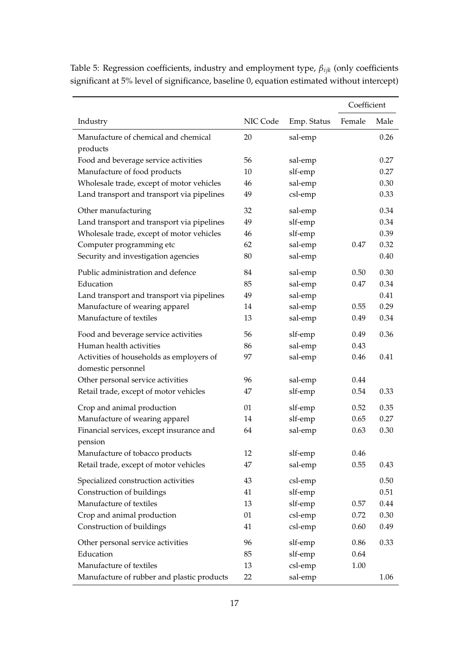|                                                                |          |             | Coefficient |      |
|----------------------------------------------------------------|----------|-------------|-------------|------|
| Industry                                                       | NIC Code | Emp. Status | Female      | Male |
| Manufacture of chemical and chemical<br>products               | 20       | sal-emp     |             | 0.26 |
| Food and beverage service activities                           | 56       | sal-emp     |             | 0.27 |
| Manufacture of food products                                   | 10       | slf-emp     |             | 0.27 |
| Wholesale trade, except of motor vehicles                      | 46       | sal-emp     |             | 0.30 |
| Land transport and transport via pipelines                     | 49       | csl-emp     |             | 0.33 |
| Other manufacturing                                            | 32       | sal-emp     |             | 0.34 |
| Land transport and transport via pipelines                     | 49       | slf-emp     |             | 0.34 |
| Wholesale trade, except of motor vehicles                      | 46       | slf-emp     |             | 0.39 |
| Computer programming etc                                       | 62       | sal-emp     | 0.47        | 0.32 |
| Security and investigation agencies                            | 80       | sal-emp     |             | 0.40 |
| Public administration and defence                              | 84       | sal-emp     | 0.50        | 0.30 |
| Education                                                      | 85       | sal-emp     | 0.47        | 0.34 |
| Land transport and transport via pipelines                     | 49       | sal-emp     |             | 0.41 |
| Manufacture of wearing apparel                                 | 14       | sal-emp     | 0.55        | 0.29 |
| Manufacture of textiles                                        | 13       | sal-emp     | 0.49        | 0.34 |
| Food and beverage service activities                           | 56       | slf-emp     | 0.49        | 0.36 |
| Human health activities                                        | 86       | sal-emp     | 0.43        |      |
| Activities of households as employers of<br>domestic personnel | 97       | sal-emp     | 0.46        | 0.41 |
| Other personal service activities                              | 96       | sal-emp     | 0.44        |      |
| Retail trade, except of motor vehicles                         | 47       | slf-emp     | 0.54        | 0.33 |
| Crop and animal production                                     | 01       | slf-emp     | 0.52        | 0.35 |
| Manufacture of wearing apparel                                 | 14       | slf-emp     | 0.65        | 0.27 |
| Financial services, except insurance and<br>pension            | 64       | sal-emp     | 0.63        | 0.30 |
| Manufacture of tobacco products                                | 12       | slf-emp     | 0.46        |      |
| Retail trade, except of motor vehicles                         | 47       | sal-emp     | 0.55        | 0.43 |
| Specialized construction activities                            | 43       | csl-emp     |             | 0.50 |
| Construction of buildings                                      | 41       | slf-emp     |             | 0.51 |
| Manufacture of textiles                                        | 13       | slf-emp     | 0.57        | 0.44 |
| Crop and animal production                                     | 01       | csl-emp     | 0.72        | 0.30 |
| Construction of buildings                                      | 41       | csl-emp     | 0.60        | 0.49 |
| Other personal service activities                              | 96       | slf-emp     | 0.86        | 0.33 |
| Education                                                      | 85       | slf-emp     | 0.64        |      |
| Manufacture of textiles                                        | 13       | csl-emp     | 1.00        |      |
| Manufacture of rubber and plastic products                     | 22       | sal-emp     |             | 1.06 |

<span id="page-16-0"></span>Table 5: Regression coefficients, industry and employment type, *βijk* (only coefficients significant at 5% level of significance, baseline 0, equation estimated without intercept)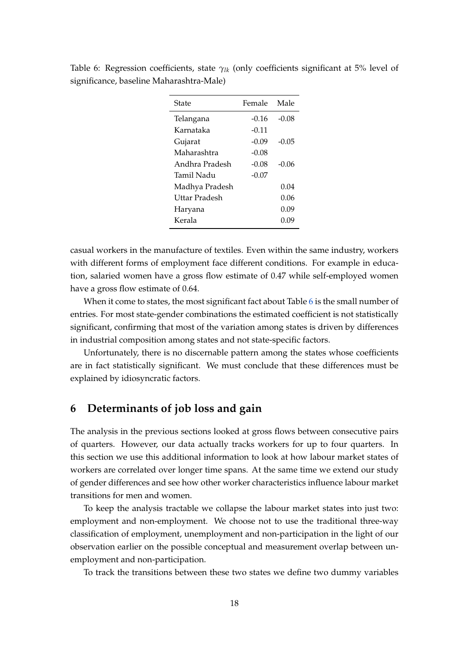| State          | Female  | Male    |
|----------------|---------|---------|
| Telangana      | $-0.16$ | $-0.08$ |
| Karnataka      | $-0.11$ |         |
| Gujarat        | $-0.09$ | $-0.05$ |
| Maharashtra    | -0.08   |         |
| Andhra Pradesh | $-0.08$ | $-0.06$ |
| Tamil Nadu     | $-0.07$ |         |
| Madhya Pradesh |         | 0.04    |
| Uttar Pradesh  |         | 0.06    |
| Haryana        |         | 0.09    |
| Kerala         |         | 0.09    |

<span id="page-17-1"></span>Table 6: Regression coefficients, state *γlk* (only coefficients significant at 5% level of significance, baseline Maharashtra-Male)

casual workers in the manufacture of textiles. Even within the same industry, workers with different forms of employment face different conditions. For example in education, salaried women have a gross flow estimate of 0.47 while self-employed women have a gross flow estimate of 0.64.

When it come to states, the most significant fact about Table [6](#page-17-1) is the small number of entries. For most state-gender combinations the estimated coefficient is not statistically significant, confirming that most of the variation among states is driven by differences in industrial composition among states and not state-specific factors.

Unfortunately, there is no discernable pattern among the states whose coefficients are in fact statistically significant. We must conclude that these differences must be explained by idiosyncratic factors.

## <span id="page-17-0"></span>**6 Determinants of job loss and gain**

The analysis in the previous sections looked at gross flows between consecutive pairs of quarters. However, our data actually tracks workers for up to four quarters. In this section we use this additional information to look at how labour market states of workers are correlated over longer time spans. At the same time we extend our study of gender differences and see how other worker characteristics influence labour market transitions for men and women.

To keep the analysis tractable we collapse the labour market states into just two: employment and non-employment. We choose not to use the traditional three-way classification of employment, unemployment and non-participation in the light of our observation earlier on the possible conceptual and measurement overlap between unemployment and non-participation.

To track the transitions between these two states we define two dummy variables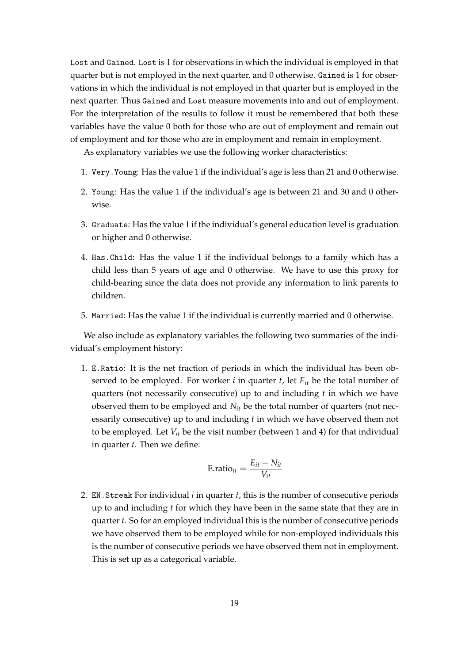Lost and Gained. Lost is 1 for observations in which the individual is employed in that quarter but is not employed in the next quarter, and 0 otherwise. Gained is 1 for observations in which the individual is not employed in that quarter but is employed in the next quarter. Thus Gained and Lost measure movements into and out of employment. For the interpretation of the results to follow it must be remembered that both these variables have the value 0 both for those who are out of employment and remain out of employment and for those who are in employment and remain in employment.

As explanatory variables we use the following worker characteristics:

- 1. Very.Young: Has the value 1 if the individual's age is less than 21 and 0 otherwise.
- 2. Young: Has the value 1 if the individual's age is between 21 and 30 and 0 otherwise.
- 3. Graduate: Has the value 1 if the individual's general education level is graduation or higher and 0 otherwise.
- 4. Has.Child: Has the value 1 if the individual belongs to a family which has a child less than 5 years of age and 0 otherwise. We have to use this proxy for child-bearing since the data does not provide any information to link parents to children.
- 5. Married: Has the value 1 if the individual is currently married and 0 otherwise.

We also include as explanatory variables the following two summaries of the individual's employment history:

1. E.Ratio: It is the net fraction of periods in which the individual has been observed to be employed. For worker  $i$  in quarter  $t$ , let  $E_{it}$  be the total number of quarters (not necessarily consecutive) up to and including *t* in which we have observed them to be employed and *Nit* be the total number of quarters (not necessarily consecutive) up to and including *t* in which we have observed them not to be employed. Let *Vit* be the visit number (between 1 and 4) for that individual in quarter *t*. Then we define:

$$
\text{E.ratio}_{it} = \frac{E_{it} - N_{it}}{V_{it}}
$$

2. EN.Streak For individual *i* in quarter *t*, this is the number of consecutive periods up to and including *t* for which they have been in the same state that they are in quarter *t*. So for an employed individual this is the number of consecutive periods we have observed them to be employed while for non-employed individuals this is the number of consecutive periods we have observed them not in employment. This is set up as a categorical variable.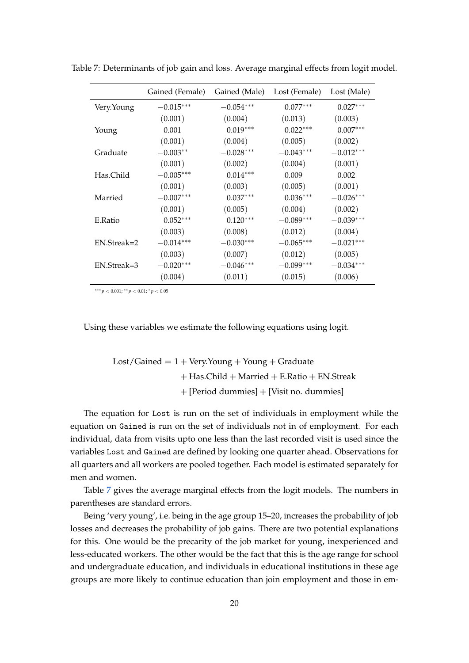<span id="page-19-0"></span>

|                   | Gained (Female) | Gained (Male) | Lost (Female) | Lost (Male) |
|-------------------|-----------------|---------------|---------------|-------------|
| Very.Young        | $-0.015***$     | $-0.054***$   | $0.077***$    | $0.027***$  |
|                   | (0.001)         | (0.004)       | (0.013)       | (0.003)     |
| Young             | 0.001           | $0.019***$    | $0.022***$    | $0.007***$  |
|                   | (0.001)         | (0.004)       | (0.005)       | (0.002)     |
| Graduate          | $-0.003**$      | $-0.028***$   | $-0.043***$   | $-0.012***$ |
|                   | (0.001)         | (0.002)       | (0.004)       | (0.001)     |
| Has.Child         | $-0.005***$     | $0.014***$    | 0.009         | 0.002       |
|                   | (0.001)         | (0.003)       | (0.005)       | (0.001)     |
| Married           | $-0.007***$     | $0.037***$    | $0.036***$    | $-0.026***$ |
|                   | (0.001)         | (0.005)       | (0.004)       | (0.002)     |
| E.Ratio           | $0.052***$      | $0.120***$    | $-0.089***$   | $-0.039***$ |
|                   | (0.003)         | (0.008)       | (0.012)       | (0.004)     |
| $EN.S$ trea $k=2$ | $-0.014***$     | $-0.030***$   | $-0.065***$   | $-0.021***$ |
|                   | (0.003)         | (0.007)       | (0.012)       | (0.005)     |
| EN.Streak=3       | $-0.020***$     | $-0.046***$   | $-0.099***$   | $-0.034***$ |
|                   | (0.004)         | (0.011)       | (0.015)       | (0.006)     |

Table 7: Determinants of job gain and loss. Average marginal effects from logit model.

∗∗∗ *p* < 0.001; ∗∗ *p* < 0.01; <sup>∗</sup> *p* < 0.05

Using these variables we estimate the following equations using logit.

 $\text{Cost/Gained} = 1 + \text{Very}$ . Young + Young + Graduate  $+$  Has.Child  $+$  Married  $+$  E.Ratio  $+$  EN.Streak + [Period dummies] + [Visit no. dummies]

The equation for Lost is run on the set of individuals in employment while the equation on Gained is run on the set of individuals not in of employment. For each individual, data from visits upto one less than the last recorded visit is used since the variables Lost and Gained are defined by looking one quarter ahead. Observations for all quarters and all workers are pooled together. Each model is estimated separately for men and women.

Table [7](#page-19-0) gives the average marginal effects from the logit models. The numbers in parentheses are standard errors.

Being 'very young', i.e. being in the age group 15–20, increases the probability of job losses and decreases the probability of job gains. There are two potential explanations for this. One would be the precarity of the job market for young, inexperienced and less-educated workers. The other would be the fact that this is the age range for school and undergraduate education, and individuals in educational institutions in these age groups are more likely to continue education than join employment and those in em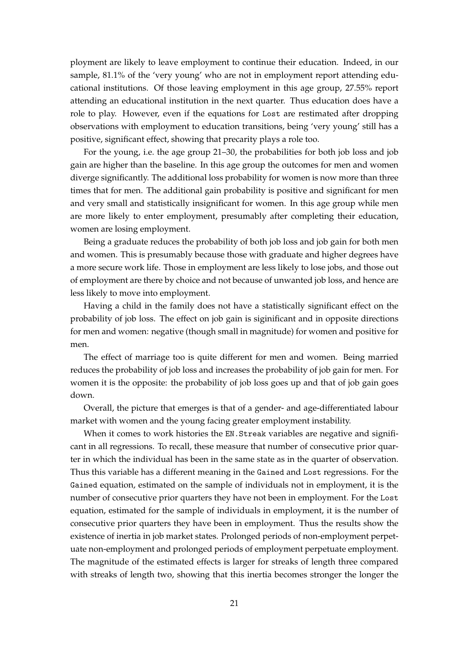ployment are likely to leave employment to continue their education. Indeed, in our sample, 81.1% of the 'very young' who are not in employment report attending educational institutions. Of those leaving employment in this age group, 27.55% report attending an educational institution in the next quarter. Thus education does have a role to play. However, even if the equations for Lost are restimated after dropping observations with employment to education transitions, being 'very young' still has a positive, significant effect, showing that precarity plays a role too.

For the young, i.e. the age group 21–30, the probabilities for both job loss and job gain are higher than the baseline. In this age group the outcomes for men and women diverge significantly. The additional loss probability for women is now more than three times that for men. The additional gain probability is positive and significant for men and very small and statistically insignificant for women. In this age group while men are more likely to enter employment, presumably after completing their education, women are losing employment.

Being a graduate reduces the probability of both job loss and job gain for both men and women. This is presumably because those with graduate and higher degrees have a more secure work life. Those in employment are less likely to lose jobs, and those out of employment are there by choice and not because of unwanted job loss, and hence are less likely to move into employment.

Having a child in the family does not have a statistically significant effect on the probability of job loss. The effect on job gain is siginificant and in opposite directions for men and women: negative (though small in magnitude) for women and positive for men.

The effect of marriage too is quite different for men and women. Being married reduces the probability of job loss and increases the probability of job gain for men. For women it is the opposite: the probability of job loss goes up and that of job gain goes down.

Overall, the picture that emerges is that of a gender- and age-differentiated labour market with women and the young facing greater employment instability.

When it comes to work histories the EN. Streak variables are negative and significant in all regressions. To recall, these measure that number of consecutive prior quarter in which the individual has been in the same state as in the quarter of observation. Thus this variable has a different meaning in the Gained and Lost regressions. For the Gained equation, estimated on the sample of individuals not in employment, it is the number of consecutive prior quarters they have not been in employment. For the Lost equation, estimated for the sample of individuals in employment, it is the number of consecutive prior quarters they have been in employment. Thus the results show the existence of inertia in job market states. Prolonged periods of non-employment perpetuate non-employment and prolonged periods of employment perpetuate employment. The magnitude of the estimated effects is larger for streaks of length three compared with streaks of length two, showing that this inertia becomes stronger the longer the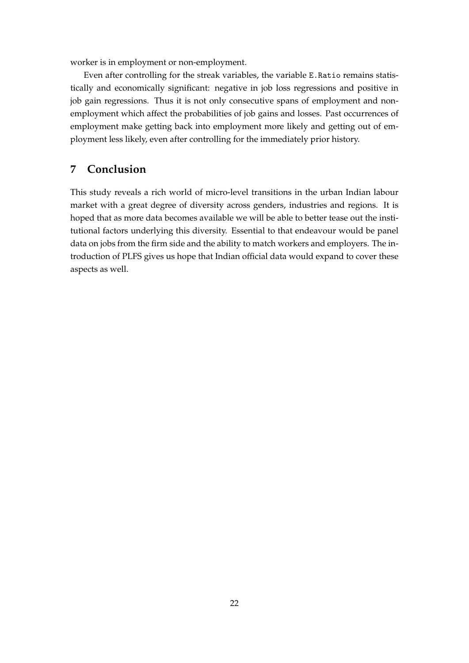worker is in employment or non-employment.

Even after controlling for the streak variables, the variable E.Ratio remains statistically and economically significant: negative in job loss regressions and positive in job gain regressions. Thus it is not only consecutive spans of employment and nonemployment which affect the probabilities of job gains and losses. Past occurrences of employment make getting back into employment more likely and getting out of employment less likely, even after controlling for the immediately prior history.

## **7 Conclusion**

This study reveals a rich world of micro-level transitions in the urban Indian labour market with a great degree of diversity across genders, industries and regions. It is hoped that as more data becomes available we will be able to better tease out the institutional factors underlying this diversity. Essential to that endeavour would be panel data on jobs from the firm side and the ability to match workers and employers. The introduction of PLFS gives us hope that Indian official data would expand to cover these aspects as well.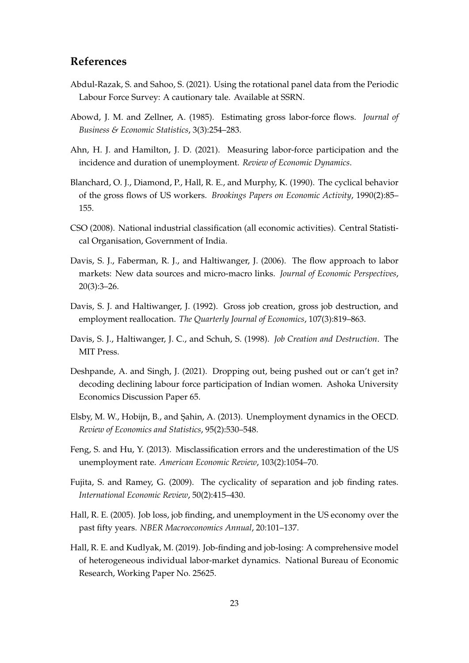### **References**

- <span id="page-22-11"></span>Abdul-Razak, S. and Sahoo, S. (2021). Using the rotational panel data from the Periodic Labour Force Survey: A cautionary tale. Available at SSRN.
- <span id="page-22-0"></span>Abowd, J. M. and Zellner, A. (1985). Estimating gross labor-force flows. *Journal of Business & Economic Statistics*, 3(3):254–283.
- <span id="page-22-8"></span>Ahn, H. J. and Hamilton, J. D. (2021). Measuring labor-force participation and the incidence and duration of unemployment. *Review of Economic Dynamics*.
- <span id="page-22-1"></span>Blanchard, O. J., Diamond, P., Hall, R. E., and Murphy, K. (1990). The cyclical behavior of the gross flows of US workers. *Brookings Papers on Economic Activity*, 1990(2):85– 155.
- <span id="page-22-13"></span>CSO (2008). National industrial classification (all economic activities). Central Statistical Organisation, Government of India.
- <span id="page-22-9"></span>Davis, S. J., Faberman, R. J., and Haltiwanger, J. (2006). The flow approach to labor markets: New data sources and micro-macro links. *Journal of Economic Perspectives*, 20(3):3–26.
- <span id="page-22-2"></span>Davis, S. J. and Haltiwanger, J. (1992). Gross job creation, gross job destruction, and employment reallocation. *The Quarterly Journal of Economics*, 107(3):819–863.
- <span id="page-22-3"></span>Davis, S. J., Haltiwanger, J. C., and Schuh, S. (1998). *Job Creation and Destruction*. The MIT Press.
- <span id="page-22-10"></span>Deshpande, A. and Singh, J. (2021). Dropping out, being pushed out or can't get in? decoding declining labour force participation of Indian women. Ashoka University Economics Discussion Paper 65.
- <span id="page-22-6"></span>Elsby, M. W., Hobijn, B., and Şahin, A. (2013). Unemployment dynamics in the OECD. *Review of Economics and Statistics*, 95(2):530–548.
- <span id="page-22-12"></span>Feng, S. and Hu, Y. (2013). Misclassification errors and the underestimation of the US unemployment rate. *American Economic Review*, 103(2):1054–70.
- <span id="page-22-5"></span>Fujita, S. and Ramey, G. (2009). The cyclicality of separation and job finding rates. *International Economic Review*, 50(2):415–430.
- <span id="page-22-4"></span>Hall, R. E. (2005). Job loss, job finding, and unemployment in the US economy over the past fifty years. *NBER Macroeconomics Annual*, 20:101–137.
- <span id="page-22-7"></span>Hall, R. E. and Kudlyak, M. (2019). Job-finding and job-losing: A comprehensive model of heterogeneous individual labor-market dynamics. National Bureau of Economic Research, Working Paper No. 25625.